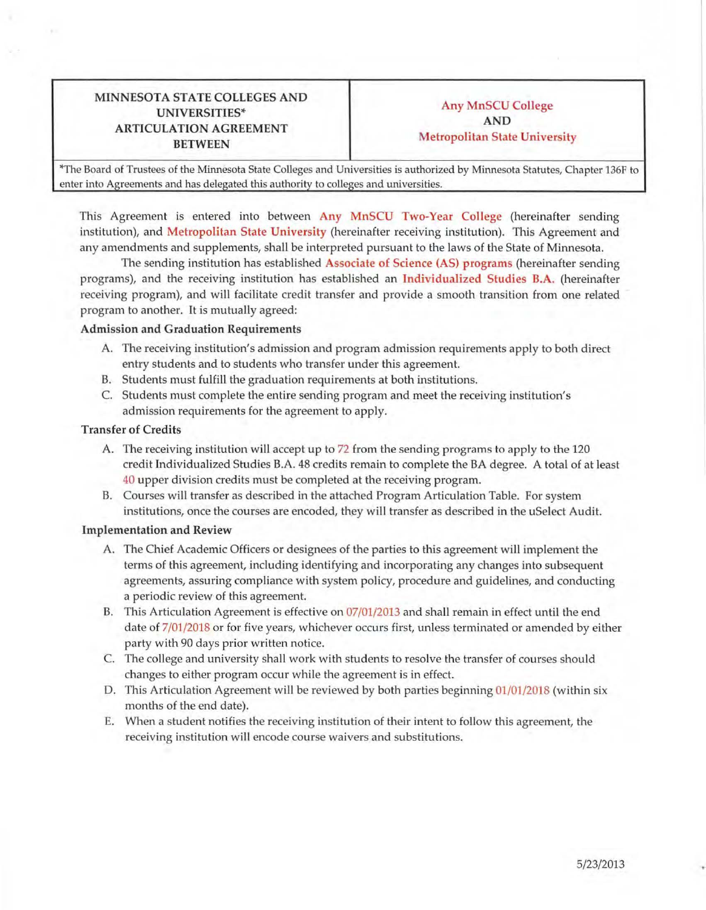# MINNESOTA STATE COLLEGES AND Any MnSCU College UNIVERSITIES\* **ARTICULATION AGREEMENT** BETWEEN Metropolitan State University

\*The Board of Trustees of the Minnesota State Colleges and Universities is authorized by Minnesota Statutes, Chapter 136F to enter into Agreements and has delegated this authority to colleges and universities.

This Agreement is entered into between Any MnSCU Two-Year College (hereinafter sending institution), and Metropolitan State University (hereinafter receiving institution). This Agreement and any amendments and supplements, shall be interpreted pursuant to the laws of the State of Minnesota.

The sending institution has established Associate of Science (AS) programs (hereinafter sending programs), and the receiving institution has established an Individualized Studies B.A. (hereinafter receiving program), and will facilitate credit transfer and provide a smooth transition from one related program to another. It is mutually agreed:

### Admission and Graduation Requirements

- A. The receiving institution's admission and program admission requirements apply to both direct entry students and to students who transfer under this agreement.
- B. Students must fulfill the graduation requirements at both institutions.
- C. Students must complete the entire sending program and meet the receiving institution's admission requirements for the agreement to apply.

#### Transfer of Credits

- A. The receiving institution will accept up to 72 from the sending programs to apply to the 120 credit Individualized Studies B.A. 48 credits remain to complete the BA degree. A total of at least 40 upper division credits must be completed at the receiving program.
- B. Courses will transfer as described in the attached Program Articulation Table. For system institutions, once the courses are encoded, they will transfer as described in the uSelect Audit.

#### Implementation and Review

- A. The Chief Academic Officers or designees of the parties to this agreement will implement the terms of this agreement, including identifying and incorporating any changes into subsequent agreements, assuring compliance with system policy, procedure and guidelines, and conducting a periodic review of this agreement.
- B. This Articulation Agreement is effective on 07/01/2013 and shall remain in effect until the end date of 7/01/2018 or for five years, whichever occurs first, unless terminated or amended by either party with 90 days prior written notice.
- C. The college and university shall work with students to resolve the transfer of courses should changes to either program occur while the agreement is in effect.
- D. This Articulation Agreement will be reviewed by both parties beginning 01/01/2018 (within six months of the end date).
- E. When a student notifies the receiving institution of their intent to follow this agreement, the receiving institution will encode course waivers and substitutions.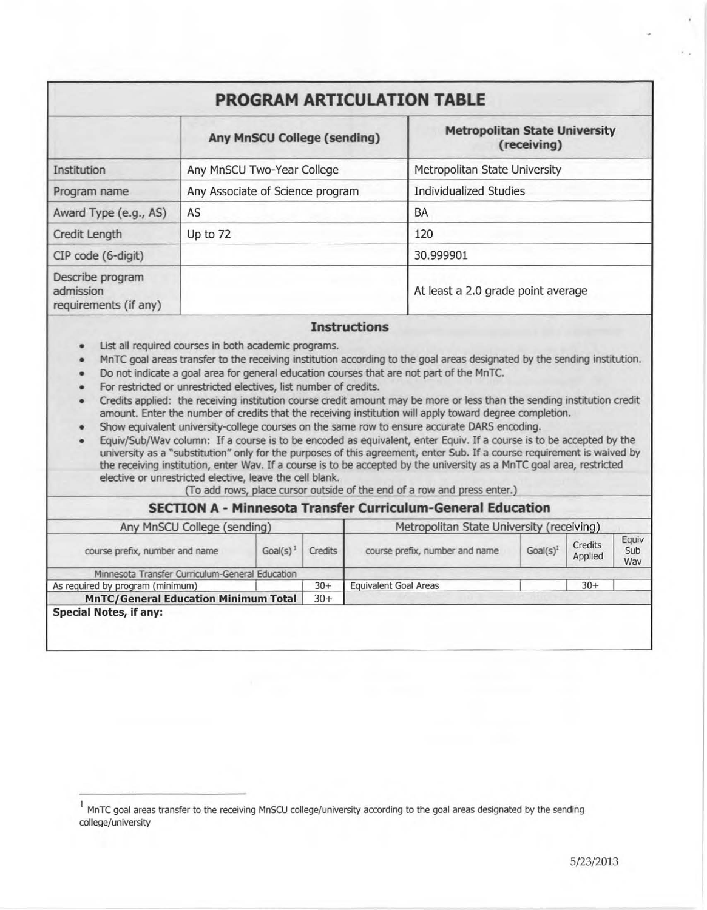# **PROGRAM ARTICULATION TABLE**

|                                                        | <b>Any MnSCU College (sending)</b> | <b>Metropolitan State University</b><br>(receiving) |  |  |  |
|--------------------------------------------------------|------------------------------------|-----------------------------------------------------|--|--|--|
| Institution                                            | Any MnSCU Two-Year College         | Metropolitan State University                       |  |  |  |
| Program name                                           | Any Associate of Science program   | <b>Individualized Studies</b>                       |  |  |  |
| Award Type (e.g., AS)                                  | AS                                 | BA                                                  |  |  |  |
| Credit Length                                          | Up to 72                           | 120                                                 |  |  |  |
| CIP code (6-digit)                                     |                                    | 30.999901                                           |  |  |  |
| Describe program<br>admission<br>requirements (if any) |                                    | At least a 2.0 grade point average                  |  |  |  |

## **Instructions**

- List all required courses in both academic programs.
- MnTC goal areas transfer to the receiving institution according to the goal areas designated by the sending institution .
- Do not indicate a goal area for general education courses that are not part of the MnTC.
- For restricted or unrestricted electives, list number of credits.
- Credits applied: the receiving institution course credit amount may be more or less than the sending institution credit amount. Enter the number of credits that the receiving institution will apply toward degree completion.
- Show equivalent university-college courses on the same row to ensure accurate DARS encoding.

• Equiv/Sub/Wav column: If a course is to be encoded as equivalent, enter Equiv. If a course is to be accepted by the university as a "substitution" only for the purposes of this agreement, enter Sub. If a course requirement is waived by the receiving institution, enter Wav. If a course is to be accepted by the university as a MnTC goal area, restricted elective or unrestricted elective, leave the cell blank.

(To add rows, place cursor outside of the end of a row and press enter.)

## **SECTION A - Minnesota Transfer Curriculum-General Education**

| Any MnSCU College (sending)                          |         |                | Metropolitan State University (receiving) |             |                    |                     |
|------------------------------------------------------|---------|----------------|-------------------------------------------|-------------|--------------------|---------------------|
| course prefix, number and name                       | Goal(s) | <b>Credits</b> | course prefix, number and name            | $Goal(s)^1$ | Credits<br>Applied | Equiv<br>Sub<br>Wav |
| Minnesota Transfer Curriculum-General Education      |         |                |                                           |             |                    |                     |
| As required by program (minimum)                     |         | $30+$          | <b>Equivalent Goal Areas</b>              |             | $30+$              |                     |
| <b>MnTC/General Education Minimum Total</b><br>$30+$ |         |                |                                           |             |                    |                     |
| <b>Special Notes, if any:</b>                        |         |                |                                           |             |                    |                     |

<sup>1</sup>MnTC goal areas transfer to the receiving MnSCU college/university according to the goal areas designated by the sending college/university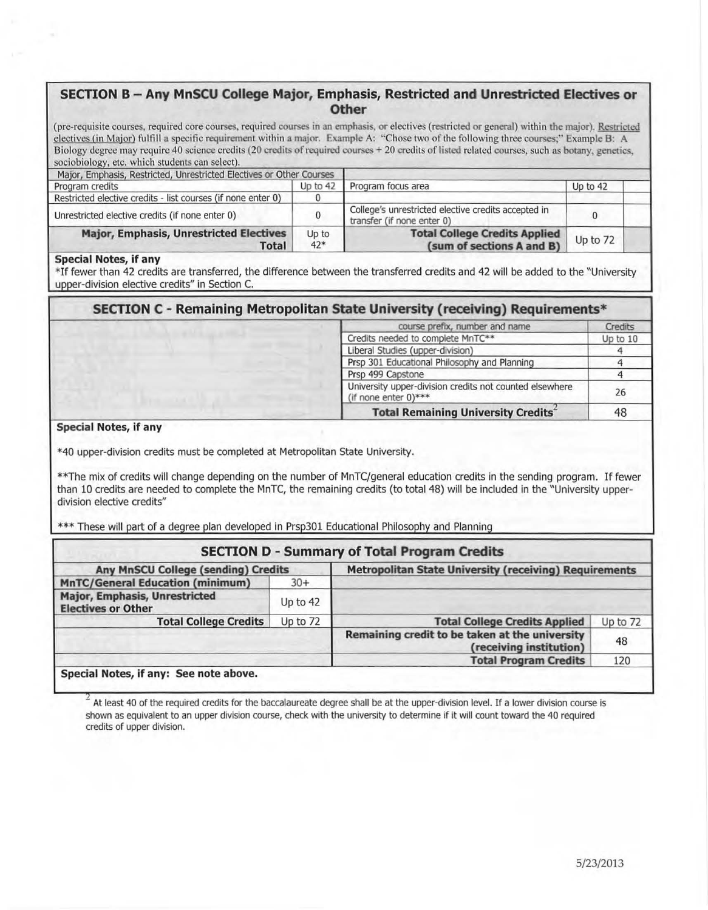## **SECTION B - Any MnSCU College Major, Emphasis, Restricted and Unrestricted Electives or Other**

(pre-requisite courses, required core courses, required courses in an emphasis, or electives {restricted or general) within the major). Restricted electives (in Major) fulfill a specific requirement within a major. Example A: "Chose two of the following three courses;" Example B: A Biology degree may require 40 science credits (20 credits of required courses + 20 credits of listed related courses, such as botany, genetics, sociobiology, etc. which students can select).

| Major, Emphasis, Restricted, Unrestricted Electives or Other Courses |                |                                                                                   |          |  |
|----------------------------------------------------------------------|----------------|-----------------------------------------------------------------------------------|----------|--|
| Program credits                                                      | Up to 42       | Program focus area                                                                | Up to 42 |  |
| Restricted elective credits - list courses (if none enter 0)         |                |                                                                                   |          |  |
| Unrestricted elective credits (if none enter 0)                      |                | College's unrestricted elective credits accepted in<br>transfer (if none enter 0) |          |  |
| <b>Major, Emphasis, Unrestricted Electives</b><br><b>Total</b>       | Up to<br>$42*$ | <b>Total College Credits Applied</b><br>(sum of sections A and B)                 | Up to 72 |  |

#### **Special Notes, if any**

\*If fewer than 42 credits are transferred, the difference between the transferred credits and 42 will be added to the "University upper-division elective credits" in Section C.

| SECTION C - Remaining Metropolitan State University (receiving) Requirements* |  |
|-------------------------------------------------------------------------------|--|
|-------------------------------------------------------------------------------|--|

|  | course prefix, number and name                                                     | <b>Credits</b> |
|--|------------------------------------------------------------------------------------|----------------|
|  | Credits needed to complete MnTC**                                                  | Up to $10$     |
|  | Liberal Studies (upper-division)                                                   |                |
|  | Prsp 301 Educational Philosophy and Planning                                       |                |
|  | Prsp 499 Capstone                                                                  |                |
|  | University upper-division credits not counted elsewhere<br>(if none enter $0$ )*** | 26             |
|  | <b>Total Remaining University Credits</b>                                          | 48             |

### **Special Notes, if any**

\* 40 upper-division credits must be completed at Metropolitan State University.

\*\*The mix of credits will change depending on the number of MnTC/general education credits in the sending program. If fewer than 10 credits are needed to complete the MnTC, the remaining credits (to total 48) will be included in the "University upperdivision elective credits"

\*\*\* These will part of a degree plan developed in Prsp301 Educational Philosophy and Planning

| <b>SECTION D - Summary of Total Program Credits</b>        |            |                                                                           |          |  |
|------------------------------------------------------------|------------|---------------------------------------------------------------------------|----------|--|
| <b>Any MnSCU College (sending) Credits</b>                 |            | <b>Metropolitan State University (receiving) Requirements</b>             |          |  |
| <b>MnTC/General Education (minimum)</b>                    | $30+$      |                                                                           |          |  |
| Major, Emphasis, Unrestricted<br><b>Electives or Other</b> | Up to $42$ |                                                                           |          |  |
| <b>Total College Credits</b>                               | Up to 72   | <b>Total College Credits Applied</b>                                      | Up to 72 |  |
|                                                            |            | Remaining credit to be taken at the university<br>(receiving institution) | 48       |  |
|                                                            |            | <b>Total Program Credits</b>                                              | 120      |  |
| Special Notes, if any: See note above.                     |            |                                                                           |          |  |

At least 40 of the required credits for the baccalaureate degree shall be at the upper-division level. If a lower division course is shown as equivalent to an upper division course, check with the university to determine if it will count toward the 40 required credits of upper division.